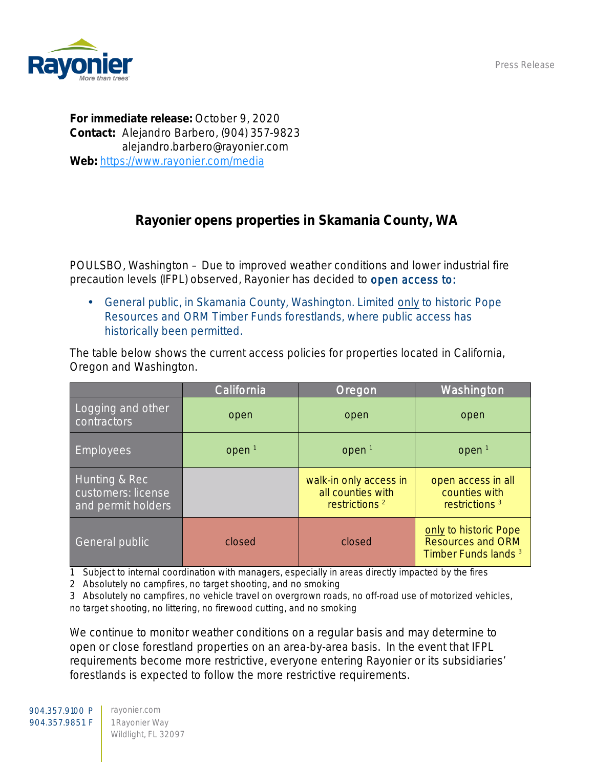Press Release



For immediate release: October 9, 2020 Contact: Alejandro Barbero, (904) 357-9823 alejandro.barbero@rayonier.com Web: <https://www.rayonier.com/media>

## Rayonier opens properties in Skamania County, WA

POULSBO, Washington – Due to improved weather conditions and lower industrial fire precaution levels (IFPL) observed, Rayonier has decided to open access to:

General public, in Skamania County, Washington. Limited only to historic Pope Resources and ORM Timber Funds forestlands, where public access has historically been permitted.

The table below shows the current access policies for properties located in California, Oregon and Washington.

|                                                           | California        | Oregon                                                                   | Washington                                                                           |
|-----------------------------------------------------------|-------------------|--------------------------------------------------------------------------|--------------------------------------------------------------------------------------|
| Logging and other<br>contractors                          | open              | open                                                                     | open                                                                                 |
| <b>Employees</b>                                          | open <sup>1</sup> | open <sup>1</sup>                                                        | open <sup>1</sup>                                                                    |
| Hunting & Rec<br>customers: license<br>and permit holders |                   | walk-in only access in<br>all counties with<br>restrictions <sup>2</sup> | open access in all<br>counties with<br>restrictions <sup>3</sup>                     |
| General public                                            | closed            | closed                                                                   | only to historic Pope<br><b>Resources and ORM</b><br>Timber Funds lands <sup>3</sup> |

1 Subject to internal coordination with managers, especially in areas directly impacted by the fires

2 Absolutely no campfires, no target shooting, and no smoking

3 Absolutely no campfires, no vehicle travel on overgrown roads, no off-road use of motorized vehicles, no target shooting, no littering, no firewood cutting, and no smoking

We continue to monitor weather conditions on a regular basis and may determine to open or close forestland properties on an area-by-area basis. In the event that IFPL requirements become more restrictive, everyone entering Rayonier or its subsidiaries' forestlands is expected to follow the more restrictive requirements.